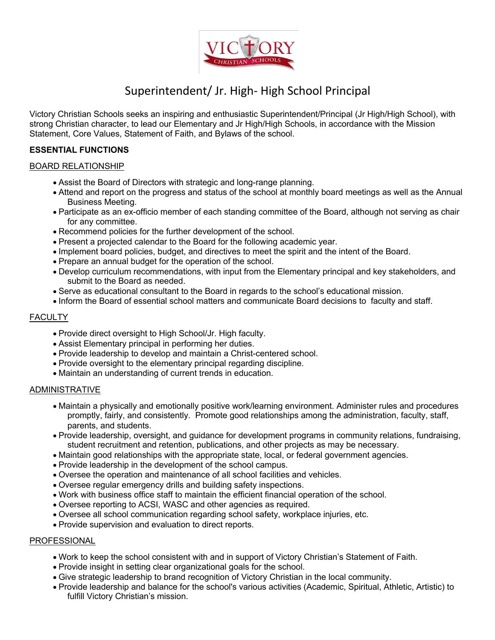

# Superintendent/ Jr. High- High School Principal

Victory Christian Schools seeks an inspiring and enthusiastic Superintendent/Principal (Jr High/High School), with strong Christian character, to lead our Elementary and Jr High/High Schools, in accordance with the Mission Statement, Core Values, Statement of Faith, and Bylaws of the school.

## **ESSENTIAL FUNCTIONS**

### BOARD RELATIONSHIP

- Assist the Board of Directors with strategic and long-range planning.
- Attend and report on the progress and status of the school at monthly board meetings as well as the Annual Business Meeting.
- Participate as an ex-officio member of each standing committee of the Board, although not serving as chair for any committee.
- Recommend policies for the further development of the school.
- Present a projected calendar to the Board for the following academic year.
- Implement board policies, budget, and directives to meet the spirit and the intent of the Board.
- Prepare an annual budget for the operation of the school.
- Develop curriculum recommendations, with input from the Elementary principal and key stakeholders, and submit to the Board as needed.
- Serve as educational consultant to the Board in regards to the school's educational mission.
- Inform the Board of essential school matters and communicate Board decisions to faculty and staff.

## **FACULTY**

- Provide direct oversight to High School/Jr. High faculty.
- Assist Elementary principal in performing her duties.
- Provide leadership to develop and maintain a Christ-centered school.
- Provide oversight to the elementary principal regarding discipline.
- Maintain an understanding of current trends in education.

### ADMINISTRATIVE

- Maintain a physically and emotionally positive work/learning environment. Administer rules and procedures promptly, fairly, and consistently. Promote good relationships among the administration, faculty, staff, parents, and students.
- Provide leadership, oversight, and guidance for development programs in community relations, fundraising, student recruitment and retention, publications, and other projects as may be necessary.
- Maintain good relationships with the appropriate state, local, or federal government agencies.
- Provide leadership in the development of the school campus.
- Oversee the operation and maintenance of all school facilities and vehicles.
- Oversee regular emergency drills and building safety inspections.
- Work with business office staff to maintain the efficient financial operation of the school.
- Oversee reporting to ACSI, WASC and other agencies as required.
- Oversee all school communication regarding school safety, workplace injuries, etc.
- Provide supervision and evaluation to direct reports.

### PROFESSIONAL

- Work to keep the school consistent with and in support of Victory Christian's Statement of Faith.
- Provide insight in setting clear organizational goals for the school.
- Give strategic leadership to brand recognition of Victory Christian in the local community.
- Provide leadership and balance for the school's various activities (Academic, Spiritual, Athletic, Artistic) to fulfill Victory Christian's mission.